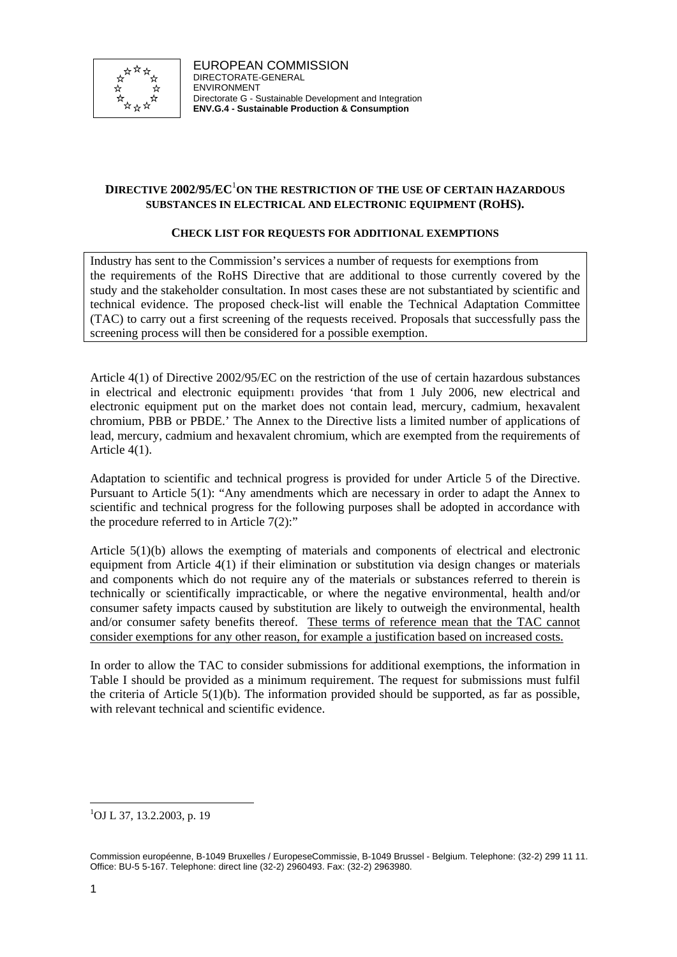

EUROPEAN COMMISSION DIRECTORATE-GENERAL ENVIRONMENT Directorate G - Sustainable Development and Integration **ENV.G.4 - Sustainable Production & Consumption**

# **DIRECTIVE 2002/95/EC**<sup>1</sup> **ON THE RESTRICTION OF THE USE OF CERTAIN HAZARDOUS SUBSTANCES IN ELECTRICAL AND ELECTRONIC EQUIPMENT (ROHS).**

#### **CHECK LIST FOR REQUESTS FOR ADDITIONAL EXEMPTIONS**

Industry has sent to the Commission's services a number of requests for exemptions from the requirements of the RoHS Directive that are additional to those currently covered by the study and the stakeholder consultation. In most cases these are not substantiated by scientific and technical evidence. The proposed check-list will enable the Technical Adaptation Committee (TAC) to carry out a first screening of the requests received. Proposals that successfully pass the screening process will then be considered for a possible exemption.

Article 4(1) of Directive 2002/95/EC on the restriction of the use of certain hazardous substances in electrical and electronic equipment provides 'that from 1 July 2006, new electrical and electronic equipment put on the market does not contain lead, mercury, cadmium, hexavalent chromium, PBB or PBDE.' The Annex to the Directive lists a limited number of applications of lead, mercury, cadmium and hexavalent chromium, which are exempted from the requirements of Article 4(1).

Adaptation to scientific and technical progress is provided for under Article 5 of the Directive. Pursuant to Article 5(1): "Any amendments which are necessary in order to adapt the Annex to scientific and technical progress for the following purposes shall be adopted in accordance with the procedure referred to in Article  $7(2)$ :"

Article 5(1)(b) allows the exempting of materials and components of electrical and electronic equipment from Article 4(1) if their elimination or substitution via design changes or materials and components which do not require any of the materials or substances referred to therein is technically or scientifically impracticable, or where the negative environmental, health and/or consumer safety impacts caused by substitution are likely to outweigh the environmental, health and/or consumer safety benefits thereof. These terms of reference mean that the TAC cannot consider exemptions for any other reason, for example a justification based on increased costs.

In order to allow the TAC to consider submissions for additional exemptions, the information in Table I should be provided as a minimum requirement. The request for submissions must fulfil the criteria of Article 5(1)(b). The information provided should be supported, as far as possible, with relevant technical and scientific evidence.

l 1 OJ L 37, 13.2.2003, p. 19

Commission européenne, B-1049 Bruxelles / EuropeseCommissie, B-1049 Brussel - Belgium. Telephone: (32-2) 299 11 11. Office: BU-5 5-167. Telephone: direct line (32-2) 2960493. Fax: (32-2) 2963980.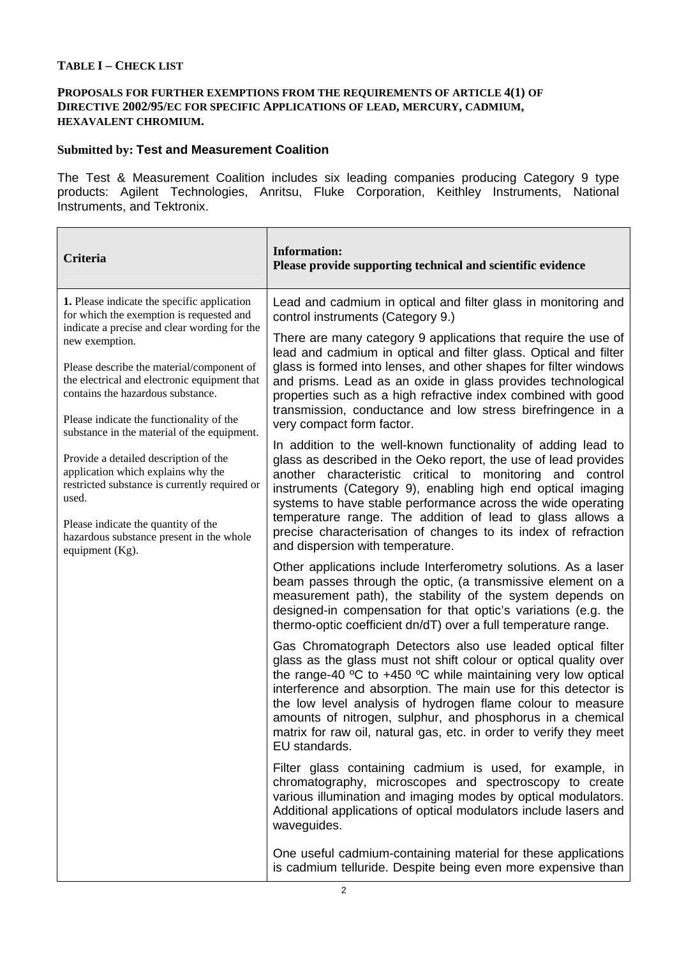# **TABLE I – CHECK LIST**

### **PROPOSALS FOR FURTHER EXEMPTIONS FROM THE REQUIREMENTS OF ARTICLE 4(1) OF DIRECTIVE 2002/95/EC FOR SPECIFIC APPLICATIONS OF LEAD, MERCURY, CADMIUM, HEXAVALENT CHROMIUM.**

# **Submitted by: Test and Measurement Coalition**

The Test & Measurement Coalition includes six leading companies producing Category 9 type products: Agilent Technologies, Anritsu, Fluke Corporation, Keithley Instruments, National Instruments, and Tektronix.

 $\overline{1}$ 

| Criteria                                                                                                                                                                                                                                    | <b>Information:</b><br>Please provide supporting technical and scientific evidence                                                                                                                                                                                                                                                                                                                                                                                                                     |
|---------------------------------------------------------------------------------------------------------------------------------------------------------------------------------------------------------------------------------------------|--------------------------------------------------------------------------------------------------------------------------------------------------------------------------------------------------------------------------------------------------------------------------------------------------------------------------------------------------------------------------------------------------------------------------------------------------------------------------------------------------------|
| 1. Please indicate the specific application<br>for which the exemption is requested and                                                                                                                                                     | Lead and cadmium in optical and filter glass in monitoring and<br>control instruments (Category 9.)                                                                                                                                                                                                                                                                                                                                                                                                    |
| indicate a precise and clear wording for the<br>new exemption.                                                                                                                                                                              | There are many category 9 applications that require the use of<br>lead and cadmium in optical and filter glass. Optical and filter                                                                                                                                                                                                                                                                                                                                                                     |
| Please describe the material/component of<br>the electrical and electronic equipment that<br>contains the hazardous substance.                                                                                                              | glass is formed into lenses, and other shapes for filter windows<br>and prisms. Lead as an oxide in glass provides technological<br>properties such as a high refractive index combined with good<br>transmission, conductance and low stress birefringence in a<br>very compact form factor.                                                                                                                                                                                                          |
| Please indicate the functionality of the<br>substance in the material of the equipment.                                                                                                                                                     |                                                                                                                                                                                                                                                                                                                                                                                                                                                                                                        |
| Provide a detailed description of the<br>application which explains why the<br>restricted substance is currently required or<br>used.<br>Please indicate the quantity of the<br>hazardous substance present in the whole<br>equipment (Kg). | In addition to the well-known functionality of adding lead to<br>glass as described in the Oeko report, the use of lead provides<br>another characteristic critical to monitoring and control<br>instruments (Category 9), enabling high end optical imaging<br>systems to have stable performance across the wide operating<br>temperature range. The addition of lead to glass allows a<br>precise characterisation of changes to its index of refraction<br>and dispersion with temperature.        |
|                                                                                                                                                                                                                                             | Other applications include Interferometry solutions. As a laser<br>beam passes through the optic, (a transmissive element on a<br>measurement path), the stability of the system depends on<br>designed-in compensation for that optic's variations (e.g. the<br>thermo-optic coefficient dn/dT) over a full temperature range.                                                                                                                                                                        |
|                                                                                                                                                                                                                                             | Gas Chromatograph Detectors also use leaded optical filter<br>glass as the glass must not shift colour or optical quality over<br>the range-40 $\degree$ C to +450 $\degree$ C while maintaining very low optical<br>interference and absorption. The main use for this detector is<br>the low level analysis of hydrogen flame colour to measure<br>amounts of nitrogen, sulphur, and phosphorus in a chemical<br>matrix for raw oil, natural gas, etc. in order to verify they meet<br>EU standards. |
|                                                                                                                                                                                                                                             | Filter glass containing cadmium is used, for example, in<br>chromatography, microscopes and spectroscopy to create<br>various illumination and imaging modes by optical modulators.<br>Additional applications of optical modulators include lasers and<br>waveguides.                                                                                                                                                                                                                                 |
|                                                                                                                                                                                                                                             | One useful cadmium-containing material for these applications<br>is cadmium telluride. Despite being even more expensive than                                                                                                                                                                                                                                                                                                                                                                          |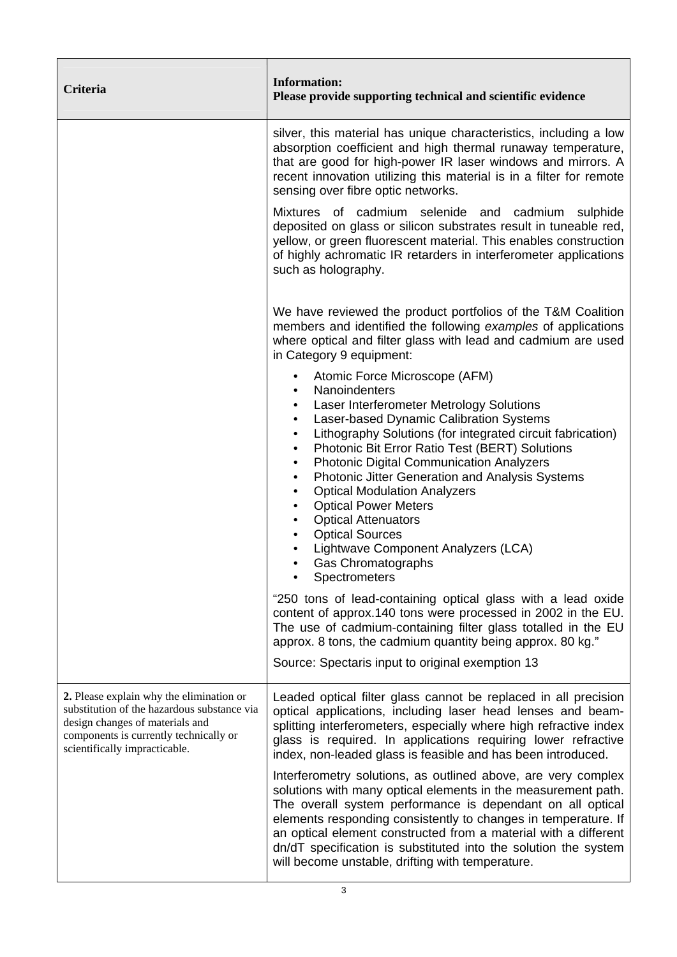| Criteria                                                                                                                                                                                              | <b>Information:</b><br>Please provide supporting technical and scientific evidence                                                                                                                                                                                                                                                                                                                                                                                                                                                                                                                                                                                                                          |
|-------------------------------------------------------------------------------------------------------------------------------------------------------------------------------------------------------|-------------------------------------------------------------------------------------------------------------------------------------------------------------------------------------------------------------------------------------------------------------------------------------------------------------------------------------------------------------------------------------------------------------------------------------------------------------------------------------------------------------------------------------------------------------------------------------------------------------------------------------------------------------------------------------------------------------|
|                                                                                                                                                                                                       | silver, this material has unique characteristics, including a low<br>absorption coefficient and high thermal runaway temperature,<br>that are good for high-power IR laser windows and mirrors. A<br>recent innovation utilizing this material is in a filter for remote<br>sensing over fibre optic networks.                                                                                                                                                                                                                                                                                                                                                                                              |
|                                                                                                                                                                                                       | Mixtures of cadmium selenide and cadmium sulphide<br>deposited on glass or silicon substrates result in tuneable red,<br>yellow, or green fluorescent material. This enables construction<br>of highly achromatic IR retarders in interferometer applications<br>such as holography.                                                                                                                                                                                                                                                                                                                                                                                                                        |
|                                                                                                                                                                                                       | We have reviewed the product portfolios of the T&M Coalition<br>members and identified the following examples of applications<br>where optical and filter glass with lead and cadmium are used<br>in Category 9 equipment:                                                                                                                                                                                                                                                                                                                                                                                                                                                                                  |
|                                                                                                                                                                                                       | Atomic Force Microscope (AFM)<br>$\bullet$<br>Nanoindenters<br>$\bullet$<br>Laser Interferometer Metrology Solutions<br>٠<br>Laser-based Dynamic Calibration Systems<br>$\bullet$<br>Lithography Solutions (for integrated circuit fabrication)<br>$\bullet$<br>Photonic Bit Error Ratio Test (BERT) Solutions<br>$\bullet$<br><b>Photonic Digital Communication Analyzers</b><br>$\bullet$<br>Photonic Jitter Generation and Analysis Systems<br>٠<br><b>Optical Modulation Analyzers</b><br>$\bullet$<br><b>Optical Power Meters</b><br>$\bullet$<br><b>Optical Attenuators</b><br>$\bullet$<br><b>Optical Sources</b><br>٠<br>Lightwave Component Analyzers (LCA)<br>Gas Chromatographs<br>Spectrometers |
|                                                                                                                                                                                                       | "250 tons of lead-containing optical glass with a lead oxide<br>content of approx.140 tons were processed in 2002 in the EU.<br>The use of cadmium-containing filter glass totalled in the EU<br>approx. 8 tons, the cadmium quantity being approx. 80 kg."<br>Source: Spectaris input to original exemption 13                                                                                                                                                                                                                                                                                                                                                                                             |
| 2. Please explain why the elimination or<br>substitution of the hazardous substance via<br>design changes of materials and<br>components is currently technically or<br>scientifically impracticable. | Leaded optical filter glass cannot be replaced in all precision<br>optical applications, including laser head lenses and beam-<br>splitting interferometers, especially where high refractive index<br>glass is required. In applications requiring lower refractive<br>index, non-leaded glass is feasible and has been introduced.                                                                                                                                                                                                                                                                                                                                                                        |
|                                                                                                                                                                                                       | Interferometry solutions, as outlined above, are very complex<br>solutions with many optical elements in the measurement path.<br>The overall system performance is dependant on all optical<br>elements responding consistently to changes in temperature. If<br>an optical element constructed from a material with a different<br>dn/dT specification is substituted into the solution the system<br>will become unstable, drifting with temperature.                                                                                                                                                                                                                                                    |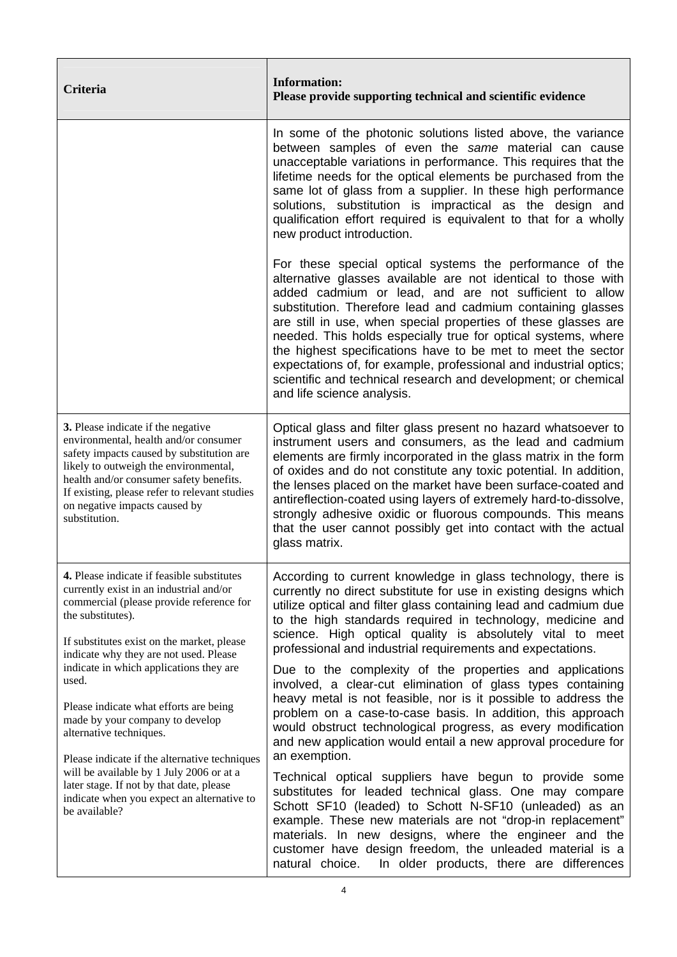| Criteria                                                                                                                                                                                                                                                                                                                                                                                                                                                                                                                                                                                                           | <b>Information:</b><br>Please provide supporting technical and scientific evidence                                                                                                                                                                                                                                                                                                                                                                                                                                                                                                                                         |
|--------------------------------------------------------------------------------------------------------------------------------------------------------------------------------------------------------------------------------------------------------------------------------------------------------------------------------------------------------------------------------------------------------------------------------------------------------------------------------------------------------------------------------------------------------------------------------------------------------------------|----------------------------------------------------------------------------------------------------------------------------------------------------------------------------------------------------------------------------------------------------------------------------------------------------------------------------------------------------------------------------------------------------------------------------------------------------------------------------------------------------------------------------------------------------------------------------------------------------------------------------|
|                                                                                                                                                                                                                                                                                                                                                                                                                                                                                                                                                                                                                    | In some of the photonic solutions listed above, the variance<br>between samples of even the same material can cause<br>unacceptable variations in performance. This requires that the<br>lifetime needs for the optical elements be purchased from the<br>same lot of glass from a supplier. In these high performance<br>solutions, substitution is impractical as the design and<br>qualification effort required is equivalent to that for a wholly<br>new product introduction.                                                                                                                                        |
|                                                                                                                                                                                                                                                                                                                                                                                                                                                                                                                                                                                                                    | For these special optical systems the performance of the<br>alternative glasses available are not identical to those with<br>added cadmium or lead, and are not sufficient to allow<br>substitution. Therefore lead and cadmium containing glasses<br>are still in use, when special properties of these glasses are<br>needed. This holds especially true for optical systems, where<br>the highest specifications have to be met to meet the sector<br>expectations of, for example, professional and industrial optics;<br>scientific and technical research and development; or chemical<br>and life science analysis. |
| 3. Please indicate if the negative<br>environmental, health and/or consumer<br>safety impacts caused by substitution are<br>likely to outweigh the environmental,<br>health and/or consumer safety benefits.<br>If existing, please refer to relevant studies<br>on negative impacts caused by<br>substitution.                                                                                                                                                                                                                                                                                                    | Optical glass and filter glass present no hazard whatsoever to<br>instrument users and consumers, as the lead and cadmium<br>elements are firmly incorporated in the glass matrix in the form<br>of oxides and do not constitute any toxic potential. In addition,<br>the lenses placed on the market have been surface-coated and<br>antireflection-coated using layers of extremely hard-to-dissolve,<br>strongly adhesive oxidic or fluorous compounds. This means<br>that the user cannot possibly get into contact with the actual<br>glass matrix.                                                                   |
| 4. Please indicate if feasible substitutes<br>currently exist in an industrial and/or<br>commercial (please provide reference for<br>the substitutes).<br>If substitutes exist on the market, please<br>indicate why they are not used. Please<br>indicate in which applications they are<br>used.<br>Please indicate what efforts are being<br>made by your company to develop<br>alternative techniques.<br>Please indicate if the alternative techniques<br>will be available by 1 July 2006 or at a<br>later stage. If not by that date, please<br>indicate when you expect an alternative to<br>be available? | According to current knowledge in glass technology, there is<br>currently no direct substitute for use in existing designs which<br>utilize optical and filter glass containing lead and cadmium due<br>to the high standards required in technology, medicine and<br>science. High optical quality is absolutely vital to meet<br>professional and industrial requirements and expectations.                                                                                                                                                                                                                              |
|                                                                                                                                                                                                                                                                                                                                                                                                                                                                                                                                                                                                                    | Due to the complexity of the properties and applications<br>involved, a clear-cut elimination of glass types containing<br>heavy metal is not feasible, nor is it possible to address the<br>problem on a case-to-case basis. In addition, this approach<br>would obstruct technological progress, as every modification<br>and new application would entail a new approval procedure for<br>an exemption.                                                                                                                                                                                                                 |
|                                                                                                                                                                                                                                                                                                                                                                                                                                                                                                                                                                                                                    | Technical optical suppliers have begun to provide some<br>substitutes for leaded technical glass. One may compare<br>Schott SF10 (leaded) to Schott N-SF10 (unleaded) as an<br>example. These new materials are not "drop-in replacement"<br>materials. In new designs, where the engineer and the<br>customer have design freedom, the unleaded material is a<br>In older products, there are differences<br>natural choice.                                                                                                                                                                                              |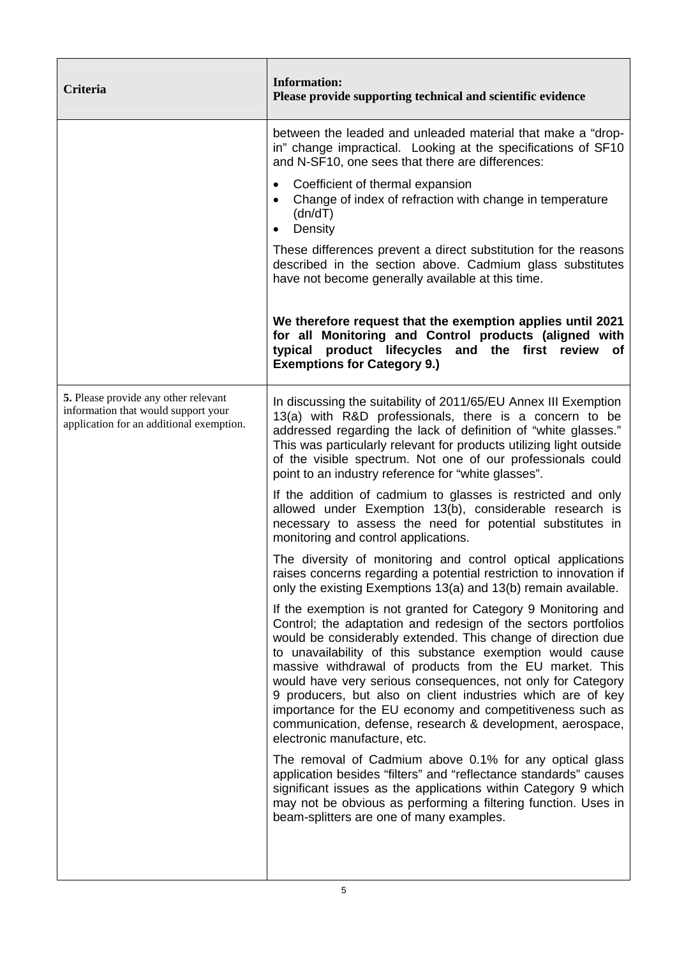| Criteria                                                                                                                | <b>Information:</b><br>Please provide supporting technical and scientific evidence                                                                                                                                                                                                                                                                                                                                                                                                                                                                                                                               |
|-------------------------------------------------------------------------------------------------------------------------|------------------------------------------------------------------------------------------------------------------------------------------------------------------------------------------------------------------------------------------------------------------------------------------------------------------------------------------------------------------------------------------------------------------------------------------------------------------------------------------------------------------------------------------------------------------------------------------------------------------|
|                                                                                                                         | between the leaded and unleaded material that make a "drop-<br>in" change impractical. Looking at the specifications of SF10<br>and N-SF10, one sees that there are differences:                                                                                                                                                                                                                                                                                                                                                                                                                                 |
|                                                                                                                         | Coefficient of thermal expansion<br>$\bullet$<br>Change of index of refraction with change in temperature<br>(dn/dT)<br>Density<br>$\bullet$                                                                                                                                                                                                                                                                                                                                                                                                                                                                     |
|                                                                                                                         | These differences prevent a direct substitution for the reasons<br>described in the section above. Cadmium glass substitutes<br>have not become generally available at this time.                                                                                                                                                                                                                                                                                                                                                                                                                                |
|                                                                                                                         | We therefore request that the exemption applies until 2021<br>for all Monitoring and Control products (aligned with<br>typical product lifecycles<br>and the first review of<br><b>Exemptions for Category 9.)</b>                                                                                                                                                                                                                                                                                                                                                                                               |
| 5. Please provide any other relevant<br>information that would support your<br>application for an additional exemption. | In discussing the suitability of 2011/65/EU Annex III Exemption<br>13(a) with R&D professionals, there is a concern to be<br>addressed regarding the lack of definition of "white glasses."<br>This was particularly relevant for products utilizing light outside<br>of the visible spectrum. Not one of our professionals could<br>point to an industry reference for "white glasses".                                                                                                                                                                                                                         |
|                                                                                                                         | If the addition of cadmium to glasses is restricted and only<br>allowed under Exemption 13(b), considerable research is<br>necessary to assess the need for potential substitutes in<br>monitoring and control applications.                                                                                                                                                                                                                                                                                                                                                                                     |
|                                                                                                                         | The diversity of monitoring and control optical applications<br>raises concerns regarding a potential restriction to innovation if<br>only the existing Exemptions 13(a) and 13(b) remain available.                                                                                                                                                                                                                                                                                                                                                                                                             |
|                                                                                                                         | If the exemption is not granted for Category 9 Monitoring and<br>Control; the adaptation and redesign of the sectors portfolios<br>would be considerably extended. This change of direction due<br>to unavailability of this substance exemption would cause<br>massive withdrawal of products from the EU market. This<br>would have very serious consequences, not only for Category<br>9 producers, but also on client industries which are of key<br>importance for the EU economy and competitiveness such as<br>communication, defense, research & development, aerospace,<br>electronic manufacture, etc. |
|                                                                                                                         | The removal of Cadmium above 0.1% for any optical glass<br>application besides "filters" and "reflectance standards" causes<br>significant issues as the applications within Category 9 which<br>may not be obvious as performing a filtering function. Uses in<br>beam-splitters are one of many examples.                                                                                                                                                                                                                                                                                                      |
|                                                                                                                         |                                                                                                                                                                                                                                                                                                                                                                                                                                                                                                                                                                                                                  |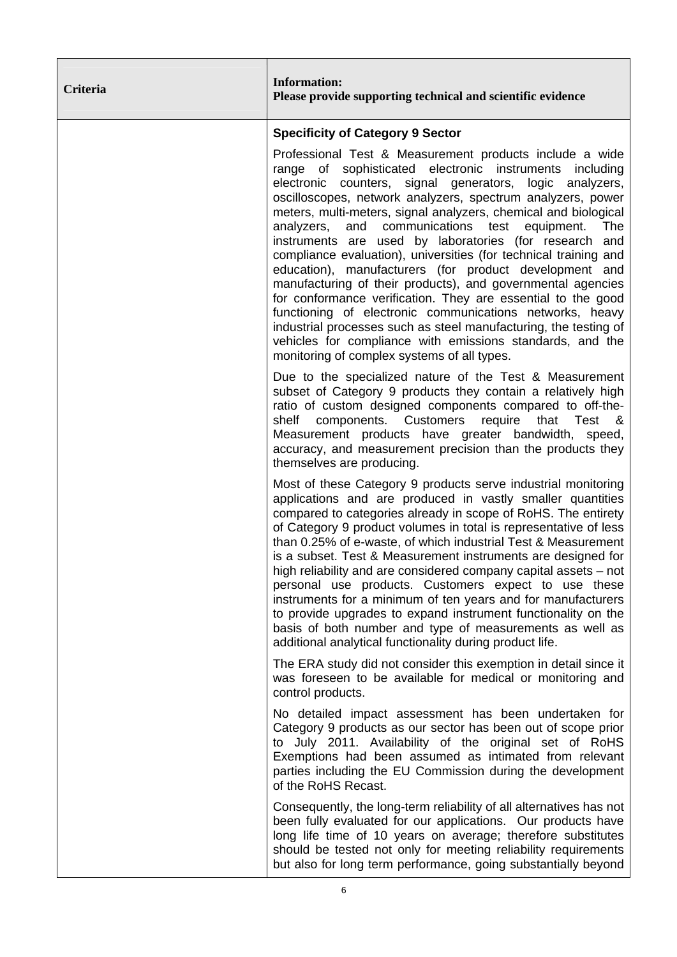| Criteria | <b>Information:</b><br>Please provide supporting technical and scientific evidence                                                                                                                                                                                                                                                                                                                                                                                                                                                                                                                                                                                                                                                                                                                                                                                                                                                          |
|----------|---------------------------------------------------------------------------------------------------------------------------------------------------------------------------------------------------------------------------------------------------------------------------------------------------------------------------------------------------------------------------------------------------------------------------------------------------------------------------------------------------------------------------------------------------------------------------------------------------------------------------------------------------------------------------------------------------------------------------------------------------------------------------------------------------------------------------------------------------------------------------------------------------------------------------------------------|
|          | <b>Specificity of Category 9 Sector</b>                                                                                                                                                                                                                                                                                                                                                                                                                                                                                                                                                                                                                                                                                                                                                                                                                                                                                                     |
|          | Professional Test & Measurement products include a wide<br>range of sophisticated electronic instruments including<br>electronic counters, signal generators, logic analyzers,<br>oscilloscopes, network analyzers, spectrum analyzers, power<br>meters, multi-meters, signal analyzers, chemical and biological<br>and communications test equipment. The<br>analyzers,<br>instruments are used by laboratories (for research and<br>compliance evaluation), universities (for technical training and<br>education), manufacturers (for product development and<br>manufacturing of their products), and governmental agencies<br>for conformance verification. They are essential to the good<br>functioning of electronic communications networks, heavy<br>industrial processes such as steel manufacturing, the testing of<br>vehicles for compliance with emissions standards, and the<br>monitoring of complex systems of all types. |
|          | Due to the specialized nature of the Test & Measurement<br>subset of Category 9 products they contain a relatively high<br>ratio of custom designed components compared to off-the-<br>components. Customers<br>shelf<br>require<br>that<br>Test<br>8.<br>Measurement products have greater bandwidth, speed,<br>accuracy, and measurement precision than the products they<br>themselves are producing.                                                                                                                                                                                                                                                                                                                                                                                                                                                                                                                                    |
|          | Most of these Category 9 products serve industrial monitoring<br>applications and are produced in vastly smaller quantities<br>compared to categories already in scope of RoHS. The entirety<br>of Category 9 product volumes in total is representative of less<br>than 0.25% of e-waste, of which industrial Test & Measurement<br>is a subset. Test & Measurement instruments are designed for<br>high reliability and are considered company capital assets - not<br>personal use products. Customers expect to use these<br>instruments for a minimum of ten years and for manufacturers<br>to provide upgrades to expand instrument functionality on the<br>basis of both number and type of measurements as well as<br>additional analytical functionality during product life.                                                                                                                                                      |
|          | The ERA study did not consider this exemption in detail since it<br>was foreseen to be available for medical or monitoring and<br>control products.                                                                                                                                                                                                                                                                                                                                                                                                                                                                                                                                                                                                                                                                                                                                                                                         |
|          | No detailed impact assessment has been undertaken for<br>Category 9 products as our sector has been out of scope prior<br>to July 2011. Availability of the original set of RoHS<br>Exemptions had been assumed as intimated from relevant<br>parties including the EU Commission during the development<br>of the RoHS Recast.                                                                                                                                                                                                                                                                                                                                                                                                                                                                                                                                                                                                             |
|          | Consequently, the long-term reliability of all alternatives has not<br>been fully evaluated for our applications. Our products have<br>long life time of 10 years on average; therefore substitutes<br>should be tested not only for meeting reliability requirements<br>but also for long term performance, going substantially beyond                                                                                                                                                                                                                                                                                                                                                                                                                                                                                                                                                                                                     |